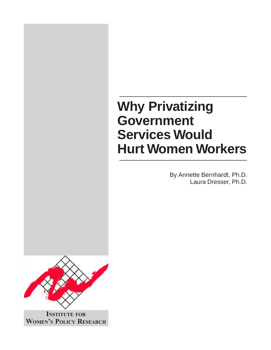# **Why Privatizing Government Services Would Hurt Women Workers**

By Annette Bernhardt, Ph.D. Laura Dresser, Ph.D.



**INSTITUTE FOR WOMEN'S POLICY RESEARCH**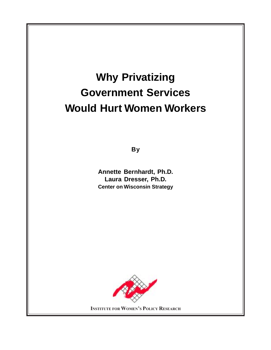# **Why Privatizing Government Services Would Hurt Women Workers**

**By**

**Annette Bernhardt, Ph.D. Laura Dresser, Ph.D. Center on Wisconsin Strategy**



**INSTITUTE FOR WOMEN'S POLICY RESEARCH**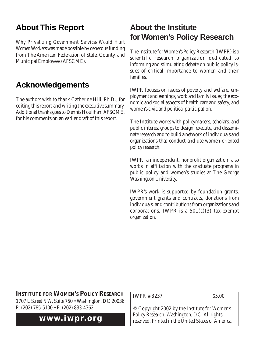# **About This Report**

*Why Privatizing Government Services Would Hurt Women Workers* was made possible by generous funding from The American Federation of State, County, and Municipal Employees (AFSCME).

# **Acknowledgements**

The authors wish to thank Catherine Hill, Ph.D., for editing this report and writing the executive summary. Additional thanks goes to Dennis Houlihan, AFSCME, for his comments on an earlier draft of this report.

# **About the Institute for Women's Policy Research**

The Institute for Women's Policy Research (IWPR) is a scientific research organization dedicated to informing and stimulating debate on public policy issues of critical importance to women and their families.

IWPR focuses on issues of poverty and welfare, employment and earnings, work and family issues, the economic and social aspects of health care and safety, and women's civic and political participation.

The Institute works with policymakers, scholars, and public interest groups to design, execute, and disseminate research and to build a network of individuals and organizations that conduct and use women-oriented policy research.

IWPR, an independent, nonprofit organization, also works in affiliation with the graduate programs in public policy and women's studies at The George Washington University.

IWPR's work is supported by foundation grants, government grants and contracts, donations from individuals, and contributions from organizations and corporations. IWPR is a  $501(c)(3)$  tax-exempt organization.

#### **INSTITUTE FOR WOMEN'S POLICY RESEARCH**

1707 L Street NW, Suite 750 • Washington, DC 20036 P: (202) 785-5100 • F: (202) 833-4362

## **www.iwpr.org**

IWPR # B237 \$5.00

© Copyright 2002 by the Institute for Women's Policy Research, Washington, DC. All rights reserved. Printed in the United States of America.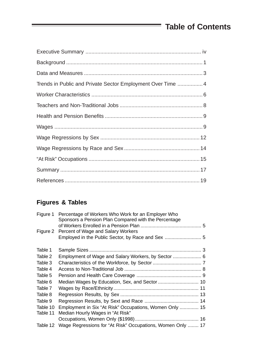# **Table of Contents**

Ξ

| Trends in Public and Private Sector Employment Over Time  4 |
|-------------------------------------------------------------|
|                                                             |
|                                                             |
|                                                             |
|                                                             |
|                                                             |
|                                                             |
|                                                             |
|                                                             |
|                                                             |

## **Figures & Tables**

| Figure 1 | Percentage of Workers Who Work for an Employer Who<br>Sponsors a Pension Plan Compared with the Percentage |  |
|----------|------------------------------------------------------------------------------------------------------------|--|
|          |                                                                                                            |  |
| Figure 2 | Percent of Wage and Salary Workers                                                                         |  |
|          | Employed in the Public Sector, by Race and Sex  5                                                          |  |
| Table 1  |                                                                                                            |  |
| Table 2  | Employment of Wage and Salary Workers, by Sector  6                                                        |  |
| Table 3  |                                                                                                            |  |
| Table 4  |                                                                                                            |  |
| Table 5  |                                                                                                            |  |
| Table 6  | Median Wages by Education, Sex, and Sector  10                                                             |  |
| Table 7  |                                                                                                            |  |
| Table 8  |                                                                                                            |  |
| Table 9  |                                                                                                            |  |
| Table 10 | Employment in Six "At Risk" Occupations, Women Only  15                                                    |  |
| Table 11 | Median Hourly Wages in "At Risk"                                                                           |  |
|          |                                                                                                            |  |
| Table 12 | Wage Regressions for "At Risk" Occupations, Women Only  17                                                 |  |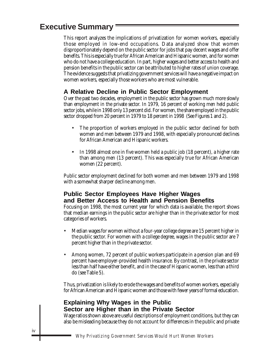## **Executive Summary**

This report analyzes the implications of privatization for women workers, especially those employed in low-end occupations. Data analyzed show that women disproportionately depend on the public sector for jobs that pay decent wages and offer benefits. This is especially true for African American and Hispanic women, and for women who do not have a college education. In part, higher wages and better access to health and pension benefits in the public sector can be attributed to higher rates of union coverage. The evidence suggests that privatizing government services will have a negative impact on women workers, especially those workers who are most vulnerable.

#### **A Relative Decline in Public Sector Employment**

Over the past two decades, employment in the public sector has grown much more slowly than employment in the private sector. In 1979, 16 percent of working men held public sector jobs, while in 1998 only 13 percent did. For women, the share employed in the public sector dropped from 20 percent in 1979 to 18 percent in 1998 (See Figures 1 and 2).

- The proportion of workers employed in the public sector declined for both women and men between 1979 and 1998, with especially pronounced declines for African American and Hispanic workers.
- In 1998 almost one in five women held a public job (18 percent), a higher rate than among men (13 percent). This was especially true for African American women (22 percent).

Public sector employment declined for both women and men between 1979 and 1998 with a somewhat sharper decline among men.

#### **Public Sector Employees Have Higher Wages and Better Access to Health and Pension Benefits**

Focusing on 1998, the most current year for which data is available, the report shows that median earnings in the public sector are higher than in the private sector for most categories of workers.

- Median wages for women without a four-year college degree are 15 percent higher in the public sector. For women with a college degree, wages in the public sector are 7 percent higher than in the private sector.
- Among women, 72 percent of public workers participate in a pension plan and 69 percent have employer-provided health insurance. By contrast, in the private sector less than half have either benefit, and in the case of Hispanic women, less than a third do (see Table 5).

Thus, privatization is likely to erode the wages and benefits of women workers, especially for African American and Hispanic women and those with fewer years of formal education.

#### **Explaining Why Wages in the Public Sector are Higher than in the Private Sector**

Wage ratios shown above are useful descriptions of employment conditions, but they can also be misleading because they do not account for differences in the public and private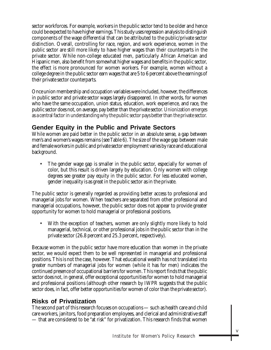sector workforces. For example, workers in the public sector tend to be older and hence could be expected to have higher earnings. This study uses regression analysis to distinguish components of the wage differential that can be attributed to the public/private sector distinction. Overall, controlling for race, region, and work experience, women in the public sector are still more likely to have higher wages than their counterparts in the private sector. While non-college educated men, particularly African American and Hispanic men, also benefit from somewhat higher wages and benefits in the public sector, the effect is more pronounced for women workers. For example, women without a college degree in the public sector earn wages that are 5 to 6 percent above the earnings of their private sector counterparts.

Once union membership and occupation variables were included, however, the differences in public sector and private sector wages largely disappeared. In other words, for women who have the same occupation, union status, education, work experience, and race, the public sector does not, on average, pay better than the private sector. Unionization emerges as a central factor in understanding why the public sector pays better than the private sector.

#### **Gender Equity in the Public and Private Sectors**

While women are paid better in the public sector in an absolute sense, a gap between men's and women's wages remains (see Table 6). The size of the wage gap between male and female workers in public and private sector employment varies by race and educational background.

The gender wage gap is smaller in the public sector, especially for women of color, but this result is driven largely by education. Only women with college degrees see greater pay equity in the public sector. For less educated women, gender inequality is as great in the public sector as in the private.

The public sector is generally regarded as providing better access to professional and managerial jobs for women. When teachers are separated from other professional and managerial occupations, however, the public sector does not appear to provide greater opportunity for women to hold managerial or professional positions.

With the exception of teachers, women are only slightly more likely to hold managerial, technical, or other professional jobs in the public sector than in the private sector (26.8 percent and 25.3 percent, respectively).

Because women in the public sector have more education than women in the private sector, we would expect them to be well represented in managerial and professional positions. This is not the case, however. That educational wealth has not translated into greater numbers of managerial jobs for women (while it has for men) indicates the continued presence of occupational barriers for women. This report finds that the public sector does not, in general, offer exceptional opportunities for women to hold managerial and professional positions (although other research by IWPR suggests that the public sector does, in fact, offer better opportunities for women of color than the private sector).

#### **Risks of Privatization**

The second part of this research focuses on occupations — such as health care and child care workers, janitors, food preparation employees, and clerical and administrative staff — that are considered to be "at risk" for privatization. This research finds that women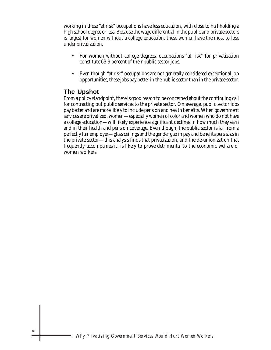working in these "at risk" occupations have less education, with close to half holding a high school degree or less. Because the wage differential in the public and private sectors is largest for women without a college education, these women have the most to lose under privatization.

- For women without college degrees, occupations "at risk" for privatization constitute 63.9 percent of their public sector jobs.
- Even though "at risk" occupations are not generally considered exceptional job opportunities, these jobs pay better in the public sector than in the private sector.

#### **The Upshot**

From a policy standpoint, there is good reason to be concerned about the continuing call for contracting out public services to the private sector. On average, public sector jobs pay better and are more likely to include pension and health benefits. When government services are privatized, women—especially women of color and women who do not have a college education—will likely experience significant declines in how much they earn and in their health and pension coverage. Even though, the public sector is far from a perfectly fair employer—glass ceilings and the gender gap in pay and benefits persist as in the private sector—this analysis finds that privatization, and the de-unionization that frequently accompanies it, is likely to prove detrimental to the economic welfare of women workers.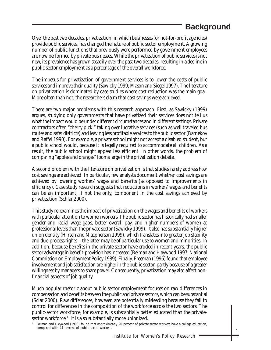# **Background**

Over the past two decades, privatization, in which businesses (or not-for-profit agencies) provide public services, has changed the nature of public sector employment. A growing number of public functions that previously were performed by government employees are now performed by private businesses. While the privatization of public services is not new, its prevalence has grown steadily over the past two decades, resulting in a decline in public sector employment as a percentage of the overall workforce.

The impetus for privatization of government services is to lower the costs of public services and improve their quality (Sawicky 1999; Mason and Siegel 1997). The literature on privatization is dominated by case studies where cost reduction was the main goal. More often than not, the researchers claim that cost savings were achieved.

There are two major problems with this research approach. First, as Sawicky (1999) argues, studying only governments that have privatized their services does not tell us what the impact would be under different circumstances and in different settings. Private contractors often "cherry pick," taking over lucrative services (such as well traveled bus routes and safer districts) and leaving less profitable services to the public sector (Barnekov and Raffel 1990). For example, a private school might not accept a disabled student, but a public school would, because it is legally required to accommodate all children. As a result, the public school might appear less efficient. In other words, the problem of comparing "apples and oranges" looms large in the privatization debate.

A second problem with the literature on privatization is that studies rarely address *how* cost savings are achieved. In particular, few analysts document whether cost savings are achieved by lowering workers' wages and benefits (as opposed to improvements in efficiency). Case study research suggests that reductions in workers' wages and benefits can be an important, if not the only, component in the cost savings achieved by privatization (Schlar 2000).

This study re-examines the impact of privatization on the wages and benefits of workers with particular attention to women workers. The public sector has historically had smaller gender and racial wage gaps, better overall pay, and higher numbers of women at professional levels than the private sector (Sawicky 1999). It also has substantially higher union density (Hirsch and Macpherson 1999), which translates into greater job stability and due-process rights—the latter may be of particular use to women and minorities. In addition, because benefits in the private sector have eroded in recent years, the public sector advantage in benefit-provision has increased (Belman and Haywood 1997; National Commission on Employment Policy 1989). Finally, Freeman (1996) found that employee involvement and job satisfaction are higher in the public sector, partly because of a greater willingness by managers to share power. Consequently, privatization may also affect nonfinancial aspects of job quality.

Much popular rhetoric about public sector employment focuses on raw differences in compensation and benefits between the public and private sectors, which can be substantial (Sclar 2000). Raw differences, however, are potentially misleading because they fail to control for differences in the composition of the workforce across the two sectors. The public-sector workforce, for example, is substantially better educated than the private- ${\rm sector\ work}$ force. $^1$  It is also substantially more unionized.

<sup>1</sup> Belman and Heywood (1993) found that approximately 20 percent of private sector workers have a college education, compared with 44 percent of public sector workers.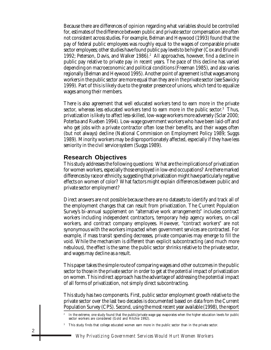Because there are differences of opinion regarding what variables should be controlled for, estimates of the difference between public and private sector compensation are often not consistent across studies. For example, Belman and Heywood (1993) found that the pay of federal public employees was roughly equal to the wages of comparable private sector employees; other studies have found public pay levels to be higher (Cox and Brunelli 1992; Peterson, Davis, and Walker 1986).<sup>2</sup> All approaches, however, find a decline in public pay relative to private pay in recent years. The pace of this decline has varied depending on macroeconomic and political conditions (Freeman 1985), and also varies regionally (Belman and Heywood 1995). Another point of agreement is that wages among workers in the public sector are more equal than they are in the private sector (see Sawicky 1999). Part of this is likely due to the greater presence of unions, which tend to equalize wages among their members.

There is also agreement that well educated workers tend to earn more in the private sector, whereas less educated workers tend to earn more in the public sector. $^3$  Thus, privatization is likely to affect less-skilled, low-wage workers more adversely (Sclar 2000; Poterba and Rueben 1994). Low-wage government workers who have been laid-off and who get jobs with a private contractor often lose their benefits, and their wages often (but not always) decline (National Commission on Employment Policy 1989; Suggs 1989). Minority workers may be disproportionately affected, especially if they have less seniority in the civil service system (Suggs 1989).

#### **Research Objectives**

This study addresses the following questions: What are the implications of privatization for women workers, especially those employed in low-end occupations? Are there marked differences by race or ethnicity, suggesting that privatization might have particularly negative effects on women of color? What factors might explain differences between public and private sector employment?

Direct answers are not possible because there are no datasets to identify and track all of the employment changes that can result from privatization. The Current Population Survey's bi-annual supplement on "alternative work arrangements" includes contract workers including independent contractors, temporary help agency workers, on-call workers, and contract company employees. However, "contract workers" are not synonymous with the workers impacted when government services are contracted. For example, if mass transit spending decreases, private companies may emerge to fill the void. While the mechanism is different than explicit subcontracting (and much more nebulous), the effect is the same: the public sector shrinks relative to the private sector, and wages may decline as a result.

This paper takes the simple route of comparing wages and other outcomes in the public sector to those in the private sector in order to get at the *potential* impact of privatization on women. This indirect approach has the advantage of addressing the potential impact of all forms of privatization, not simply direct subcontracting.

This study has two components. First, public sector employment growth relative to the private sector over the last two decades is documented based on data from the Current Population Survey (CPS). Second, using the most recent year available (1998), the report

<sup>2</sup> In the extreme, one study found that the public/private wage gap evaporates when the higher education levels for public sector workers are considered (Gold and Ritchie 1992).

<sup>&</sup>lt;sup>3</sup> This study finds that college educated women earn more in the public sector than in the private sector.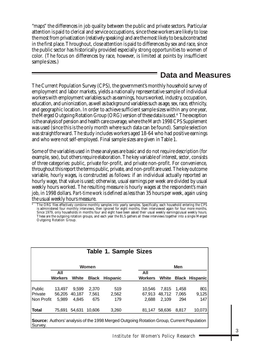"maps" the differences in job quality between the public and private sectors. Particular attention is paid to clerical and service occupations, since these workers are likely to lose the most from privatization (relatively speaking) and are the most likely to be subcontracted in the first place. Throughout, close attention is paid to differences by sex and race, since the public sector has historically provided especially strong opportunities to women of color. (The focus on differences by race, however, is limited at points by insufficient sample sizes.)

### **Data and Measures**

The Current Population Survey (CPS), the government's monthly household survey of employment and labor markets, yields a nationally representative sample of individual workers with employment variables such as earnings, hours worked, industry, occupation, education, and unionization, as well as background variables such as age, sex, race, ethnicity, and geographic location. In order to achieve sufficient sample sizes within any one year, the Merged Outgoing Rotation Group (ORG) version of these data is used.<sup>4</sup> The exception is the analysis of pension and health care coverage, where the March 1998 CPS Supplement was used (since this is the only month where such data can be found). Sample selection was straightforward. The study includes workers aged 18-64 who had positive earnings and who were not self-employed. Final sample sizes are given in Table 1.

Some of the variables used in these analyses are basic and do not require description (for example, sex), but others require elaboration. The key variable of interest, *sector*, consists of three categories: public, private for-profit, and private non-profit. For convenience, throughout this report the terms public, private, and non-profit are used. The key outcome variable, *hourly wages*, is constructed as follows: if an individual actually reported an hourly wage, that value is used; otherwise, usual earnings per week are divided by usual weekly hours worked. The resulting measure is hourly wages at the respondent's main job, in 1998 dollars. *Part-time work* is defined as less than 35 hours per week, again using the usual weekly hours measure.

<sup>4</sup> The ORG files effectively combine monthly samples into yearly samples. Specifically, each household entering the CPS is administered four monthly interviews, then ignored for eight months, then interviewed again for four more months. Since 1979, only households in months four and eight have been asked their usual weekly earnings/usual weekly hours. These are the outgoing rotation groups, and each year the BLS gathers all these interviews together into a single Merged Outgoing Rotation Group.

| <b>Table 1. Sample Sizes</b> |                                                                                                 |        |              |                 |                |        |            |                       |  |
|------------------------------|-------------------------------------------------------------------------------------------------|--------|--------------|-----------------|----------------|--------|------------|-----------------------|--|
|                              |                                                                                                 |        | <b>Women</b> |                 |                |        | <b>Men</b> |                       |  |
|                              | All                                                                                             |        |              |                 | All            |        |            |                       |  |
|                              | <b>Workers</b>                                                                                  | White  | <b>Black</b> | <b>Hispanic</b> | <b>Workers</b> | White  |            | <b>Black Hispanic</b> |  |
|                              |                                                                                                 |        |              |                 |                |        |            |                       |  |
| Public                       | 13,497                                                                                          | 9,599  | 2,370        | 519             | 10.546         | 7.815  | 1,458      | 801                   |  |
| <b>IPrivate</b>              | 56,205                                                                                          | 40,187 | 7,561        | 2,562           | 67.913         | 48,712 | 7,065      | 9,125                 |  |
| INon Profit                  | 5.989                                                                                           | 4.845  | 675          | 179             | 2.688          | 2.109  | 294        | 147                   |  |
| <b>Total</b>                 | 75,691                                                                                          | 54,631 | 10.606       | 3,260           | 81,147         | 58,636 | 8,817      | 10,073                |  |
| Survey.                      | <b>Source:</b> Authors' analysis of the 1998 Merged Outgoing Rotation Group, Current Population |        |              |                 |                |        |            |                       |  |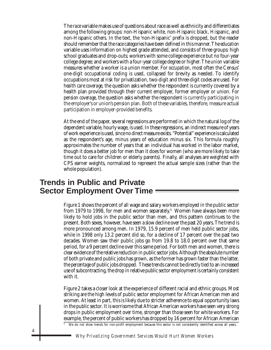The *race* variable makes use of questions about race as well as ethnicity and differentiates among the following groups: non-Hispanic white, non-Hispanic black, Hispanic, and non-Hispanic others. In the text, the 'non-Hispanic' prefix is dropped, but the reader should remember that the race categories have been defined in this manner. The *education* variable uses information on highest grade attended, and consists of three groups: high school graduates and drop-outs; workers with some college experience but no four-year college degree; and workers with a four-year college degree or higher. The *union* variable measures whether a worker is a union member. For *occupation*, most often the Census' one-digit occupational coding is used, collapsed for brevity as needed. To identify occupations most at risk for privatization, two-digit and three-digit codes are used. For *health care coverage*, the question asks whether the respondent is currently covered by a health plan provided through their current employer, former employer or union. For *pension coverage*, the question asks whether the respondent is currently participating in the employer's or union's pension plan. Both of these variables, therefore, measure actual participation in employer-provided benefits.

At the end of the paper, several regressions are performed in which the natural log of the dependent variable, hourly wage, is used. In these regressions, an indirect measure of years of work experience is used, since no direct measure exists. "Potential" experience is calculated as the respondent's age, minus years of education minus six. This formula roughly approximates the number of years that an individual has worked in the labor market, though it does a better job for men than it does for women (who are more likely to take time out to care for children or elderly parents). Finally, all analyses are weighted with CPS earner weights, normalized to represent the actual sample sizes (rather than the whole population).

### **Trends in Public and Private Sector Employment Over Time**

Figure 1 shows the percent of all wage and salary workers employed in the public sector from 1979 to 1998, for men and women separately. $^5\,$  Women have always been more likely to hold jobs in the public sector than men, and this pattern continues to the present. Both sexes, however, have seen a slow decline over the past 20 years. The trend is more pronounced among men. In 1979, 15.9 percent of men held public sector jobs, while in 1998 only 13.2 percent did so, for a decline of 17 percent over the past two decades. Women saw their public jobs go from 19.8 to 18.0 percent over that same period, for a 9 percent decline over this same period. For both men and women, there is clear evidence of the relative reduction in public sector jobs. Although the absolute number of both private and public jobs has grown, as the former has grown faster than the latter, the *percentage* of public jobs dropped. These trends cannot be directly tied to an increased use of subcontracting, the drop in relative public sector employment is certainly consistent with it.

Figure 2 takes a closer look at the experience of different racial and ethnic groups. Most striking are the high levels of public sector employment for African American men and women. At least in part, this is likely due to stricter adherence to equal opportunity laws in the public sector. It is worrisome that African American workers have seen very strong drops in public employment over time, stronger than those seen for white workers. For example, the percent of public workers has dropped by 16 percent for African American

We do not show trends for non-profit employment because this sector is not consistently identified across all years.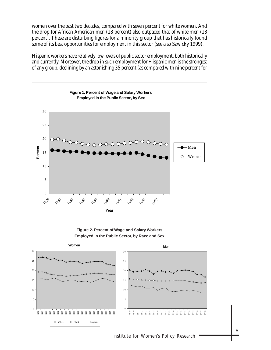women over the past two decades, compared with seven percent for white women. And the drop for African American men (18 percent) also outpaced that of white men (13 percent). These are disturbing figures for a minority group that has historically found some of its best opportunities for employment in this sector (see also Sawicky 1999).

Hispanic workers have relatively low levels of public sector employment, both historically and currently. Moreover, the drop in such employment for Hispanic men is the strongest of any group, declining by an astonishing 35 percent (as compared with nine percent for



**Figure 2. Percent of Wage and Salary Workers Employed in the Public Sector, by Race and Sex**



Institute for Women's Policy Research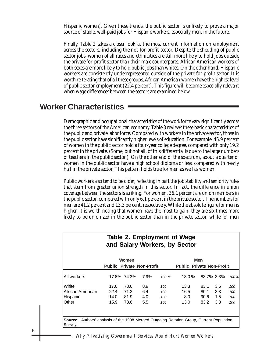Hispanic women). Given these trends, the public sector is unlikely to prove a major source of stable, well-paid jobs for Hispanic workers, especially men, in the future.

Finally, Table 2 takes a closer look at the most current information on employment across the sectors, including the not-for-profit sector. Despite the shedding of public sector jobs, women of all races and ethnicities are still more likely to hold jobs outside the private for-profit sector than their male counterparts. African American workers of both sexes are more likely to hold public jobs than whites. On the other hand, Hispanic workers are consistently underrepresented outside of the private for-profit sector. It is worth reiterating that of all these groups, African American women have the highest level of public sector employment (22.4 percent). This figure will become especially relevant when wage differences between the sectors are examined below.

### **Worker Characteristics**

Demographic and occupational characteristics of the workforce vary significantly across the three sectors of the American economy. Table 3 reviews these basic characteristics of the public and private labor force. Compared with workers in the private sector, those in the public sector have significantly higher levels of education. For example, 45.9 percent of women in the public sector hold a four-year college degree, compared with only 19.2 percent in the private. (Some, but not all, of this differential is due to the large numbers of teachers in the public sector.) On the other end of the spectrum, about a quarter of women in the public sector have a high school diploma or less, compared with nearly half in the private sector. This pattern holds true for men as well as women.

Public workers also tend to be older, reflecting in part the job stability and seniority rules that stem from greater union strength in this sector. In fact, the difference in union coverage between the sectors is striking. For women, 36.1 percent are union members in the public sector, compared with only 6.1 percent in the private sector. The numbers for men are 41.2 percent and 13.3 percent, respectively. While the absolute figure for men is higher, it is worth noting that women have the most to gain: they are six times more likely to be unionized in the public sector than in the private sector, while for men

| Table 2. Employment of Wage<br>and Salary Workers, by Sector                                               |                                  |             |      |          |                                  |      |            |      |
|------------------------------------------------------------------------------------------------------------|----------------------------------|-------------|------|----------|----------------------------------|------|------------|------|
|                                                                                                            |                                  | Women       |      |          |                                  | Men  |            |      |
|                                                                                                            | <b>Public Private Non-Profit</b> |             |      |          | <b>Public Private Non-Profit</b> |      |            |      |
| All workers                                                                                                |                                  | 17.8% 74.3% | 7.9% | $100 \%$ | 13.0%                            |      | 83.7% 3.3% | 100% |
| <b>White</b>                                                                                               | 17.6                             | 73.6        | 8.9  | 100      | 13.3                             | 83.1 | 3.6        | 100  |
| African American                                                                                           | 22.4                             | 71.3        | 6.4  | 100      | 16.5                             | 80.1 | 3.3        | 100  |
| Hispanic                                                                                                   | 14.0                             | 81.9        | 4.0  | 100      | 8.0                              | 90.6 | $1.5\,$    | 100  |
| lOther                                                                                                     | 15.9                             | 78.6        | 5.5  | 100      | 13.0                             | 83.2 | 3.8        | 100  |
| <b>Source:</b> Authors' analysis of the 1998 Merged Outgoing Rotation Group, Current Population<br>Survey. |                                  |             |      |          |                                  |      |            |      |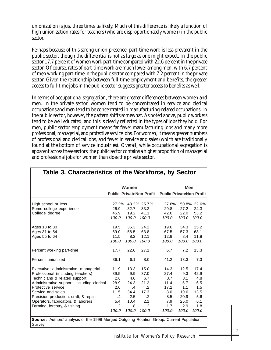unionization is just three times as likely. Much of this difference is likely a function of high unionization rates for teachers (who are disproportionately women) in the public sector.

Perhaps because of this strong union presence, part-time work is less prevalent in the public sector, though the differential is not as large as one might expect. In the public sector 17.7 percent of women work part-time compared with 22.6 percent in the private sector. Of course, rates of part-time work are much lower among men, with 6.7 percent of men working part-time in the public sector compared with 7.2 percent in the private sector. Given the relationship between full-time employment and benefits, the greater access to full-time jobs in the public sector suggests greater access to benefits as well.

In terms of occupational segregation, there are greater differences between women and men. In the private sector, women tend to be concentrated in service and clerical occupations and men tend to be concentrated in manufacturing-related occupations. In the public sector, however, the pattern shifts somewhat. As noted above, public workers tend to be well educated, and this is clearly reflected in the types of jobs they hold. For men, public sector employment means far fewer manufacturing jobs and many more professional, managerial, and protective service jobs. For women, it means greater numbers of professional and clerical jobs, and fewer in service and sales (which are traditionally found at the bottom of service industries). Overall, while occupational segregation is apparent across these sectors, the public sector contains a higher proportion of managerial and professional jobs for women than does the private sector.

|                                            |               | Women   |             |                                                   | <b>Men</b> |             |
|--------------------------------------------|---------------|---------|-------------|---------------------------------------------------|------------|-------------|
|                                            |               |         |             | Public PrivateNon-Profit Public PrivateNon-Profit |            |             |
| High school or less                        | $27.2\%$      |         | 48.2% 25.7% | 27.6%                                             |            | 50.8% 22.6% |
| Some college experience                    | 26.9          | 32.7    | 33.2        | 29.8                                              | 27.2       | 24.3        |
| College degree                             | 45.9          | 19.2    | 41.1        | 42.6                                              | 22.0       | 53.2        |
|                                            | 100.0         | 100.0   | 100.0       | 100.0                                             | 100.0      | 100.0       |
| Ages 18 to 30                              | 19.5          | 35.3    | 24.2        | 19.6                                              | 34.3       | 25.2        |
| Ages 31 to 54                              | 69.0          | 56.5    | 63.8        | 67.5                                              | 57.3       | 63.1        |
| Ages 55 to 64                              | 11.5          | 8.2     | 12.1        | 12.9                                              | 8.4        | 11.8        |
|                                            | 100.0         | 100.0   | 100.0       | 100.0                                             | 100.0      | 100.0       |
| Percent working part-time                  | 17.7          | 22.6    | 27.1        | 6.7                                               | 7.2        | 13.3        |
| Percent unionized                          | 36.1          | 6.1     | 8.0         | 41.2                                              | 13.3       | 7.3         |
| Executive, administrative, managerial      | 11.9          | 13.3    | 15.0        | 14.3                                              | 12.5       | 17.4        |
| Professional (including teachers)          | 39.5          | 9.9     | 37.0        | 27.4                                              | 9.3        | 42.9        |
| Technicians & related support              | 2.6           | 4.0     | 6.7         | 3.7                                               | 3.1        | 4.8         |
| Administrative support, including clerical | 28.9          | 24.3    | 21.2        | 11.4                                              | 5.7        | 6.5         |
| Protective service                         | 2.6           | $\cdot$ | $\cdot$ .2  | 17.2                                              | 1.1        | 1.5         |
| Service and sales                          | 11.5          | 34.4    | 17.3        | 8.0                                               | 19.6       | 13.5        |
| Precision production, craft, & repair      | $\mathcal{A}$ | 2.5     | $\cdot$     | 8.5                                               | 20.9       | 5.6         |
| Operators, fabricators, & laborers         | 5.4           | 10.4    | 2.1         | 7.9                                               | 25.0       | 6.1         |
| Farming, forestry, & fishing               | $\cdot$       | .8      | $\cdot$     | 1.7                                               | 2.9        | 1.8         |
|                                            | 100.0         | 100.0   | 100.0       | 100.0                                             | 100.0      | 100.0       |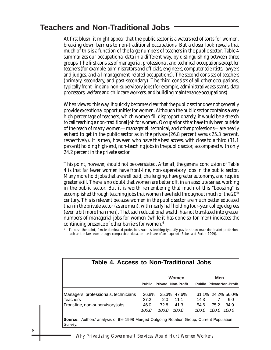## **Teachers and Non-Traditional Jobs**

At first blush, it might appear that the public sector is a watershed of sorts for women, breaking down barriers to non-traditional occupations. But a closer look reveals that much of this is a function of the large numbers of teachers in the public sector. Table 4 summarizes our occupational data in a different way, by distinguishing between three groups. The first consists of managerial, professional, and technical occupations *except for* teachers (for example, administrators and officials, engineers, computer scientists, lawyers and judges, and all management-related occupations). The second consists of teachers (primary, secondary, and post-secondary). The third consists of all other occupations, typically front-line and non-supervisory jobs (for example, administrative assistants, data processors, welfare and childcare workers, and building maintenance occupations).

When viewed this way, it quickly becomes clear that the public sector does not generally provide exceptional opportunities for women. Although the public sector contains a very high percentage of teachers, which women fill disproportionately, it would be a stretch to call teaching a non-traditional job for women. Occupations that have truly been outside of the reach of many women—managerial, technical, and other professions—are nearly as hard to get in the public sector as in the private (26.8 percent versus 25.3 percent, respectively). It is men, however, who have the best access, with close to a third (31.1 percent) holding high-end, non-teaching jobs in the public sector, as compared with only 24.2 percent in the private sector.

This point, however, should not be overstated. After all, the general conclusion of Table 4 is that far fewer women have front-line, non-supervisory jobs in the public sector. Many more hold jobs that are well paid, challenging, have greater autonomy, and require greater skill. There is no doubt that women are better off, in an absolute sense, working in the public sector. But it is worth remembering that much of this "boosting" is accomplished through teaching jobs that women have held throughout much of the  $20<sup>th</sup>$ century. This is relevant because women in the public sector are much better educated than in the private sector (as are men), with nearly half holding four-year college degrees (even a bit more than men). That such educational wealth has not translated into greater numbers of managerial jobs for women (while it has done so for men) indicates the continuing presence of other barriers for women.6

 $^{\rm 6}$  To push the point, female-dominated professions such as teaching typically pay less than male-dominated professions such as the law, even though comparable education levels are often required (Baker and Fortin 1999).

| Table 4. Access to Non-Traditional Jobs                                                                    |               |               |                                  |               |                 |                                  |  |
|------------------------------------------------------------------------------------------------------------|---------------|---------------|----------------------------------|---------------|-----------------|----------------------------------|--|
|                                                                                                            |               |               | Women                            |               | Men             |                                  |  |
|                                                                                                            |               |               | <b>Public Private Non-Profit</b> |               |                 | <b>Public Private Non-Profit</b> |  |
| Managers, professionals, technicians<br><b>Teachers</b>                                                    | 26.8%<br>27.2 | 2.0           | 25.3% 47.6%<br>11.1              | 14.3          | $.7\phantom{0}$ | 31.1% 24.2% 56.0%<br>9.0         |  |
| Front-line, non-supervisory jobs                                                                           | 46.0<br>100.0 | 72.8<br>100.0 | 41.3<br>100.0                    | 54.6<br>100.0 | 75.2<br>100.0   | 34.9<br>100.0                    |  |
| <b>Source:</b> Authors' analysis of the 1998 Merged Outgoing Rotation Group, Current Population<br>Survey. |               |               |                                  |               |                 |                                  |  |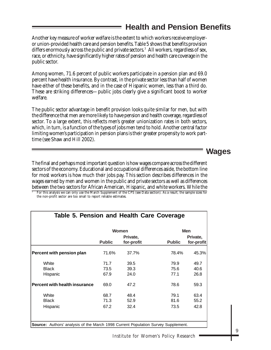## **Health and Pension Benefits**

Another key measure of worker welfare is the extent to which workers receive employeror union-provided health care and pension benefits. Table 5 shows that benefits provision differs enormously across the public and private sectors.7 All workers, regardless of sex, race, or ethnicity, have significantly higher rates of pension and health care coverage in the public sector.

Among women, 71.6 percent of public workers participate in a pension plan and 69.0 percent have health insurance. By contrast, in the private sector less than half of women have either of these benefits, and in the case of Hispanic women, less than a third do. These are striking differences—public jobs clearly give a significant boost to worker welfare.

The public sector advantage in benefit provision looks quite similar for men, but with the difference that men are more likely to have pension and health coverage, regardless of sector. To a large extent, this reflects men's greater unionization rates in both sectors, which, in turn, is a function of the types of jobs men tend to hold. Another central factor limiting women's participation in pension plans is their greater propensity to work parttime (see Shaw and Hill 2002).

#### **Wages**

The final and perhaps most important question is how wages compare across the different sectors of the economy. Educational and occupational differences aside, the bottom line for most workers is how much their jobs pay. This section describes differences in the wages earned by men and women in the public and private sectors as well as differences between the two sectors for African American, Hispanic, and white workers. While the

<sup>7</sup> For this analysis we can only use the March Supplement of the CPS (see Data section). As a result, the sample sizes for the non-profit sector are too small to report reliable estimates.

|                                      |               | Women      |               | <b>Men</b> |
|--------------------------------------|---------------|------------|---------------|------------|
|                                      |               | Private,   | Private,      |            |
|                                      | <b>Public</b> | for-profit | <b>Public</b> | for-profit |
| Percent with pension plan            | 71.6%         | 37.7%      | 78.4%         | 45.3%      |
| White                                | 71.7          | 39.5       | 79.9          | 49.7       |
| <b>Black</b>                         | 73.5          | 39.3       | 75.6          | 40.6       |
| Hispanic                             | 67.9          | 24.0       | 77.1          | 26.8       |
| <b>Percent with health insurance</b> | 69.0          | 47.2       | 78.6          | 59.3       |
| White                                | 68.7          | 48.4       | 79.1          | 63.4       |
| <b>Black</b>                         | 71.3          | 52.9       | 81.6          | 55.2       |
| Hispanic                             | 67.2          | 32.4       | 73.5          | 42.8       |

#### Institute for Women's Policy Research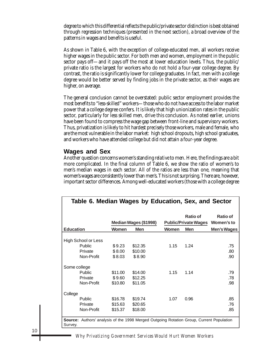degree to which this differential reflects the public/private sector distinction is best obtained through regression techniques (presented in the next section), a broad overview of the patterns in wages and benefits is useful.

As shown in Table 6, with the exception of college-educated men, all workers receive higher wages in the public sector. For both men and women, employment in the public sector pays off—and it pays off the most at lower education levels. Thus, the public/ private ratio is the largest for workers who do not hold a four-year college degree. By contrast, the ratio is significantly lower for college graduates. In fact, men with a college degree would be better served by finding jobs in the private sector, as their wages are higher, on average.

The general conclusion cannot be overstated: public sector employment provides the most benefits to "less-skilled" workers—those who do not have access to the labor market power that a college degree confers. It is likely that high unionization rates in the public sector, particularly for less skilled men, drive this conclusion. As noted earlier, unions have been found to compress the wage gap between front-line and supervisory workers. Thus, privatization is likely to hit hardest precisely those workers, male and female, who are the most vulnerable in the labor market: high school dropouts, high school graduates, and workers who have attended college but did not attain a four-year degree.

#### **Wages and Sex**

Another question concerns women's standing *relative* to men. Here, the findings are a bit more complicated. In the final column of Table 6, we show the ratio of women's to men's median wages in each sector. All of the ratios are less than one, meaning that women's wages are consistently lower than men's. This is not surprising. There are, however, important sector differences. Among well-educated workers (those with a college degree

| Table 6. Median Wages by Education, Sex, and Sector                                      |              |                       |       |                                 |                 |  |
|------------------------------------------------------------------------------------------|--------------|-----------------------|-------|---------------------------------|-----------------|--|
|                                                                                          |              |                       |       |                                 |                 |  |
|                                                                                          |              |                       |       | Ratio of                        | <b>Ratio of</b> |  |
|                                                                                          |              | Median Wages (\$1998) |       | Public/Private Wages Women's to |                 |  |
| <b>Education</b>                                                                         | <b>Women</b> | <b>Men</b>            | Women | <b>Men</b>                      | Men's Wages     |  |
|                                                                                          |              |                       |       |                                 |                 |  |
| High School or Less                                                                      |              |                       |       |                                 |                 |  |
| Public                                                                                   | \$9.23       | \$12.35               | 1.15  | 1.24                            | .75             |  |
| Private                                                                                  | \$8.00       | \$10.00               |       |                                 | .80             |  |
| Non-Profit                                                                               | \$8.03       | \$8.90                |       |                                 | .90             |  |
| Some college                                                                             |              |                       |       |                                 |                 |  |
| Public                                                                                   | \$11.00      | \$14.00               | 1.15  | 1.14                            | .79             |  |
| Private                                                                                  | \$9.60       | \$12.25               |       |                                 | .78             |  |
| Non-Profit                                                                               | \$10.80      | \$11.05               |       |                                 | .98             |  |
| College                                                                                  |              |                       |       |                                 |                 |  |
| Public                                                                                   | \$16.78      | \$19.74               | 1.07  | 0.96                            | .85             |  |
| Private                                                                                  | \$15.63      | \$20.65               |       |                                 | .76             |  |
| Non-Profit                                                                               | \$15.37      | \$18.00               |       |                                 | .85             |  |
|                                                                                          |              |                       |       |                                 |                 |  |
| Source: Authors' analysis of the 1998 Merged Outgoing Rotation Group, Current Population |              |                       |       |                                 |                 |  |
| Survey.                                                                                  |              |                       |       |                                 |                 |  |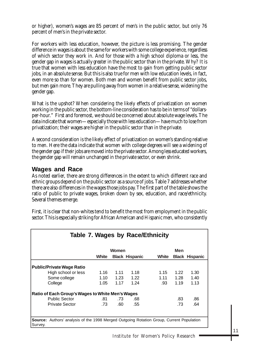or higher), women's wages are 85 percent of men's in the public sector, but only 76 percent of men's in the private sector.

For workers with less education, however, the picture is less promising. The gender difference in wages is about the same for workers with some college experience, regardless of which sector they work in. And for those with a high school diploma or less, the gender gap in wages is actually *greater* in the public sector than in the private. Why? It is true that women with less education have the most to gain from getting public sector jobs, in an absolute sense. But this is also true for men with low education levels, in fact, even more so than for women. Both men and women benefit from public sector jobs, but men gain more. They are pulling away from women in a relative sense, widening the gender gap.

What is the upshot? When considering the likely effects of privatization on women working in the public sector, the bottom-line consideration has to be in terms of "dollarsper-hour." First and foremost, we should be concerned about absolute wage levels. The data indicate that women—especially those with less education—have much to lose from privatization; their wages are higher in the public sector than in the private.

A second consideration is the likely effect of privatization on women's standing relative to men. Here the data indicate that women with college degrees will see a widening of the gender gap if their jobs are moved into the private sector. Among less educated workers, the gender gap will remain unchanged in the private sector, or even shrink.

#### **Wages and Race**

As noted earlier, there are strong differences in the extent to which different race and ethnic groups depend on the public sector as a source of jobs. Table 7 addresses whether there are also differences in the wages those jobs pay. The first part of the table shows the ratio of public to private wages, broken down by sex, education, and race/ethnicity. Several themes emerge.

|                      |              |                      |                                                                                            | Men                              |                       |
|----------------------|--------------|----------------------|--------------------------------------------------------------------------------------------|----------------------------------|-----------------------|
| White                |              |                      | White                                                                                      |                                  | <b>Black Hispanic</b> |
| 1.16<br>1.10<br>1.05 | 1.11<br>1.17 | 1.18<br>1.22<br>1.24 | 1.15<br>1.11<br>.93                                                                        | 1.22<br>1.28<br>1.19             | 1.30<br>1.40<br>1.13  |
| .81<br>.73           | .73<br>.60   | .68<br>.55           |                                                                                            | .83<br>.73                       | .86<br>.64            |
|                      |              |                      | Women<br><b>Black Hispanic</b><br>1.23<br>Ratio of Each Group's Wages to White Men's Wages | Table 7. Wages by Race/Ethnicity |                       |

First, it is clear that non-whites tend to benefit the most from employment in the public sector. This is especially striking for African American and Hispanic men, who consistently

**Source:** Authors' analysis of the 1998 Merged Outgoing Rotation Group, Current Population Survey.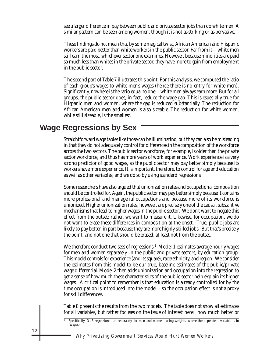see a larger difference in pay between public and private sector jobs than do white men. A similar pattern can be seen among women, though it is not as striking or as pervasive.

These findings do *not* mean that by some magical twist, African American and Hispanic workers are paid better than white workers in the public sector. Far from it—white men still earn the most, whichever sector one examines. However, because minorities are paid so much less than whites in the private sector, they have more to gain from employment in the public sector.

The second part of Table 7 illustrates this point. For this analysis, we computed the ratio of each group's wages to white men's wages (hence there is no entry for white men). Significantly, nowhere is the ratio equal to one—white men always earn more. But for all groups, the public sector does, in fact, reduce the wage gap. This is especially true for Hispanic men and women, where the gap is reduced substantially. The reduction for African American men and women is also sizeable. The reduction for white women, while still sizeable, is the smallest.

## **Wage Regressions by Sex**

Straightforward wage tables like those can be illuminating, but they can also be misleading in that they do not adequately control for differences in the composition of the workforce across the two sectors. The public sector workforce, for example, is older than the private sector workforce, and thus has more years of work experience. Work experience is a very strong predictor of good wages, so the public sector may pay better simply because its workers have more experience. It is important, therefore, to control for age and education as well as other variables, and we do so by using standard regressions.

Some researchers have also argued that unionization rates and occupational composition should be controlled for. Again, the public sector may pay better simply because it contains more professional and managerial occupations and because more of its workforce is unionized. Higher unionization rates, however, are precisely one of the causal, *substantive* mechanisms that lead to higher wages in the public sector. We don't want to negate this effect from the outset; rather, we want to measure it. Likewise, for occupation, we do not want to erase these differences in composition at the onset. True, public jobs are likely to pay better, in part because they are more highly skilled jobs. But that's precisely the point, and not one that should be erased, at least not from the outset.

We therefore conduct two sets of regressions.<sup>8</sup> Model 1 estimates average hourly wages for men and women separately, in the public and private sectors, by education group. This model controls for experience (and its square), race/ethnicity, and region. We consider the estimates from this model to be our true, baseline estimates of the public/private wage differential. Model 2 then adds unionization and occupation into the regression to get a sense of how much these characteristics of the public sector help explain its higher wages. A critical point to remember is that education is already controlled for by the time occupation is introduced into the model—so the occupation effect is not a proxy for skill differences.

Table 8 presents the results from the two models. The table does not show all estimates for all variables, but rather focuses on the issue of interest here: how much better or

Specifically, OLS regressions run separately for men and women, using weights, where the dependent variable is ln (wages).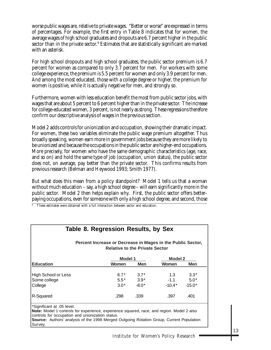worse public wages are, relative to private wages. "Better or worse" are expressed in terms of percentages. For example, the first entry in Table 8 indicates that for women, the average wages of high school graduates and dropouts are 6.7 percent higher in the public sector than in the private sector. $^9$  Estimates that are statistically significant are marked with an asterisk.

For high school dropouts and high school graduates, the public sector premium is 6.7 percent for women as compared to only 3.7 percent for men. For workers with some college experience, the premium is 5.5 percent for women and only 3.9 percent for men. And among the most educated, those with a college degree or higher, the premium for women is positive, while it is actually negative for men, and strongly so.

Furthermore, women with less education benefit the most from public sector jobs, with wages that are about 5 percent to 6 percent higher than in the private sector. The increase for college-educated women, 3 percent, is not nearly as strong. These regressions therefore confirm our descriptive analysis of wages in the previous section.

Model 2 adds controls for unionization and occupation, showing their dramatic impact. For women, these two variables eliminate the public wage premium altogether. Thus broadly speaking, women earn more in government jobs because they are more likely to be unionized and because the occupations in the public sector are higher-end occupations. More precisely, for women who have the same demographic characteristics (age, race, and so on) and hold the same type of job (occupation, union status), the public sector does not, on average, pay better than the private sector. This confirms results from previous research (Belman and Heywood 1993; Smith 1977).

But what does this mean from a policy standpoint? Model 1 tells us that a woman without much education – say, a high school degree – will earn significantly more in the public sector. Model 2 then helps explain *why*. First, the public sector offers betterpaying occupations, even for someone with only a high school degree, and second, those

 $\overline{9}$  These estimates were obtained with a full interaction between sector and education.

| Table 8. Regression Results, by Sex<br>Percent Increase or Decrease in Wages in the Public Sector,<br><b>Relative to the Private Sector</b> |            |                |            |  |  |  |  |
|---------------------------------------------------------------------------------------------------------------------------------------------|------------|----------------|------------|--|--|--|--|
|                                                                                                                                             |            | <b>Model 2</b> |            |  |  |  |  |
| Women                                                                                                                                       | <b>Men</b> | Women          | <b>Men</b> |  |  |  |  |
| $6.7*$                                                                                                                                      | $3.7*$     | 1.3            | $3.3*$     |  |  |  |  |
| $5.5*$                                                                                                                                      | $3.9*$     | $-1.1$         | $5.0*$     |  |  |  |  |
| $3.0*$                                                                                                                                      | $-8.0*$    | $-10.4*$       | $-15.0*$   |  |  |  |  |
| .298                                                                                                                                        | .339       | .397           | .401       |  |  |  |  |
|                                                                                                                                             |            | <b>Model 1</b> |            |  |  |  |  |

\*Significant at .05 level.

**Note:** Model 1 controls for experience, experience squared, race, and region. Model 2 also controls for occupation and unionization status.

**Source:** Authors' analysis of the 1998 Merged Outgoing Rotation Group, Current Population Survey.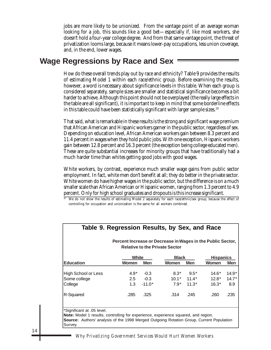jobs are more likely to be unionized. From the vantage point of an average woman looking for a job, this sounds like a good bet—especially if, like most workers, she doesn't hold a four-year college degree. And from that same vantage point, the threat of privatization looms large, because it means lower-pay occupations, less union coverage, and, in the end, lower wages.

### **Wage Regressions by Race and Sex**

How do these overall trends play out by race and ethnicity? Table 9 provides the results of estimating Model 1 within each race/ethnic group. Before examining the results, however, a word is necessary about significance levels in this table. When each group is considered separately, sample sizes are smaller and statistical significance becomes a bit harder to achieve. Although this point should not be overplayed (the really large effects in the table are all significant), it is important to keep in mind that some borderline effects in this table could have been statistically significant with larger sample sizes.<sup>10</sup>

That said, what is remarkable in these results is the strong and significant wage premium that African American and Hispanic workers garner in the public sector, regardless of sex. Depending on education level, African American workers gain between 8.3 percent and 11.4 percent in wages when they hold public jobs. With one exception, Hispanic workers gain between 12.8 percent and 16.3 percent (the exception being college educated men). These are quite substantial increases for minority groups that have traditionally had a much harder time than whites getting good jobs with good wages.

White workers, by contrast, experience much smaller wage gains from public sector employment. In fact, white men don't benefit at all; they do better in the private sector. White women do have higher wages in the public sector, but the difference is on a much smaller scale than African American or Hispanic women, ranging from 1.3 percent to 4.9 percent. Only for high school graduates and dropouts is this increase significant.

<sup>10</sup> We do not show the results of estimating Model 2 separately for each race/ethnic/sex group, because the effect of controlling for occupation and unionization is the same for all workers combined.

| White<br><b>Black</b> |              |            |              |         |         | <b>Hispanics</b> |
|-----------------------|--------------|------------|--------------|---------|---------|------------------|
| <b>Education</b>      | <b>Women</b> | <b>Men</b> | <b>Women</b> | Men     | Women   | <b>Men</b>       |
| High School or Less   | $4.9*$       | $-0.3$     | $8.3*$       | $9.5*$  | 14.6*   | $14.9*$          |
| Some college          | 2.5          | $-0.3$     | $10.1*$      | $11.4*$ | $12.8*$ | $14.7*$          |
| College               | 1.3          | $-11.0*$   | $7.9*$       | $11.3*$ | $16.3*$ | 8.9              |
| R-Squared             | .285         | .325       | .314         | .245    | .260    | .235             |

## **Table 9. Regression Results, by Sex, and Race**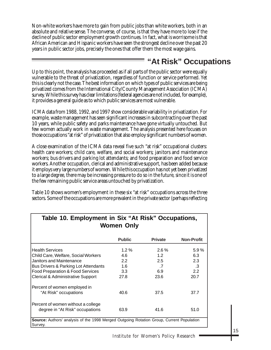Non-white workers have more to gain from public jobs than white workers, both in an absolute and relative sense. The converse, of course, is that they have more to lose if the decline of public sector employment growth continues. In fact, what is worrisome is that African American and Hispanic workers have seen the strongest decline over the past 20 years in public sector jobs, precisely the ones that offer them the most wage gains.

## **"At Risk" Occupations**

Up to this point, the analysis has proceeded as if all parts of the public sector were equally vulnerable to the threat of privatization, regardless of function or service performed. Yet this is clearly not the case. The best information on which types of public services are being privatized comes from the International City/County Management Association (ICMA) survey. While this survey has clear limitations (federal agencies are not included, for example), it provides a general guide as to which public services are most vulnerable.

ICMA data from 1988, 1992, and 1997 show considerable variability in privatization. For example, waste management has seen significant increases in subcontracting over the past 10 years, while public safety and parks maintenance have gone virtually untouched. But few women actually work in waste management. The analysis presented here focuses on those occupations "at risk" of privatization that also employ significant numbers of women.

A close examination of the ICMA data reveal five such "at risk" occupational clusters: health care workers; child care, welfare, and social workers; janitors and maintenance workers; bus drivers and parking lot attendants; and food preparation and food service workers. Another occupation, clerical and administrative support, has been added because it employs very large numbers of women. While this occupation has not yet been privatized to a large degree, there may be increasing pressure to do so in the future, since it is one of the few remaining public service areas untouched by privatization.

Table 10 shows women's employment in these six "at risk" occupations across the three sectors. Some of the occupations are more prevalent in the private sector (perhaps reflecting

| <b>Women Only</b>                                                                                          |                  |                |                   |  |  |  |  |
|------------------------------------------------------------------------------------------------------------|------------------|----------------|-------------------|--|--|--|--|
|                                                                                                            | <b>Public</b>    | <b>Private</b> | <b>Non-Profit</b> |  |  |  |  |
| <b>Health Services</b>                                                                                     | $1.2\%$          | $2.6\%$        | 5.9%              |  |  |  |  |
| Child Care, Welfare, Social Workers                                                                        | 4.6              | 1.2            | 6.3               |  |  |  |  |
| Janitors and Maintenance                                                                                   | 2.2              | 2.5            | 2.3               |  |  |  |  |
| Bus Drivers & Parking Lot Attendants                                                                       | 1.6              | .7             | .3                |  |  |  |  |
| Food Preparation & Food Services                                                                           | 3.3 <sub>2</sub> | 6.9            | 2.2               |  |  |  |  |
| Clerical & Administrative Support                                                                          | 27.8             | 23.6           | 20.7              |  |  |  |  |
| Percent of women employed in                                                                               |                  |                |                   |  |  |  |  |
| "At Risk" occupations                                                                                      | 40.6             | 37.5           | 37.7              |  |  |  |  |
| Percent of women without a college                                                                         |                  |                |                   |  |  |  |  |
| degree in "At Risk" occupations                                                                            | 63.9             | 41.6           | 51.0              |  |  |  |  |
| <b>Source:</b> Authors' analysis of the 1998 Merged Outgoing Rotation Group, Current Population<br>Survey. |                  |                |                   |  |  |  |  |

# **Table 10. Employment in Six "At Risk" Occupations,**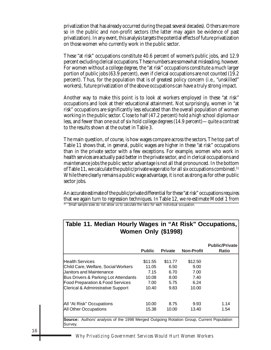privatization that has already occurred during the past several decades). Others are more so in the public and non-profit sectors (the latter may again be evidence of past privatization). In any event, this analysis targets the potential effects of future privatization on those women who currently work in the public sector.

These "at risk" occupations constitute 40.6 percent of women's public jobs, and 12.9 percent excluding clerical occupations. These numbers are somewhat misleading, however. For women without a college degree, the "at risk" occupations constitute a much larger portion of public jobs (63.9 percent), even if clerical occupations are not counted (19.2 percent). Thus, for the population that is of greatest policy concern (i.e., "unskilled" workers), future privatization of the above occupations can have a truly strong impact.

Another way to make this point is to look at workers employed in these "at risk" occupations and look at their educational attainment. Not surprisingly, women in "at risk" occupations are significantly less educated than the overall population of women working in the public sector. Close to half (47.2 percent) hold a high school diploma or less, and fewer than one out of six hold college degrees (14.9 percent)—quite a contrast to the results shown at the outset in Table 3.

The main question, of course, is how wages compare across the sectors. The top part of Table 11 shows that, in general, public wages are higher in these "at risk" occupations than in the private sector with a few exceptions. For example, women who work in health services are actually paid better in the private sector, and in clerical occupations and maintenance jobs the public sector advantage is not all that pronounced. In the bottom of Table 11, we calculate the public/private wage ratio for all six occupations combined.11 While there clearly remains a public wage advantage, it is not as strong as for other public sector jobs.

An accurate estimate of the public/private differential for these "at risk" occupations requires that we again turn to regression techniques. In Table 12, we re-estimate Model 1 from

 $11$  Small sample sizes do not allow us to calculate the ratio for each individual occupation.

|                                              | <b>Public</b> | <b>Private</b> | <b>Non-Profit</b> | <b>Public/Private</b><br><b>Ratio</b> |
|----------------------------------------------|---------------|----------------|-------------------|---------------------------------------|
|                                              |               |                |                   |                                       |
| lHealth Services                             | \$11.55       | \$11.77        | \$12.50           |                                       |
| Child Care, Welfare, Social Workers          | 11.05         | 6.50           | 9.00              |                                       |
| Janitors and Maintenance                     | 7.15          | 6.70           | 7.00              |                                       |
| Bus Drivers & Parking Lot Attendants         | 10.08         | 8.00           | 7.40              |                                       |
| <b>Food Preparation &amp; Food Services</b>  | 7.00          | 5.75           | 6.24              |                                       |
| <b>Clerical &amp; Administrative Support</b> | 10.40         | 9.83           | 10.00             |                                       |
| All "At Risk" Occupations                    | 10.00         | 8.75           | 9.93              | 1.14                                  |
| <b>All Other Occupations</b>                 | 15.38         | 10.00          | 13.40             | 1.54                                  |

# **Table 11. Median Hourly Wages in "At Risk" Occupations,**

*Why Privatizing Government Services Would Hurt Women Workers*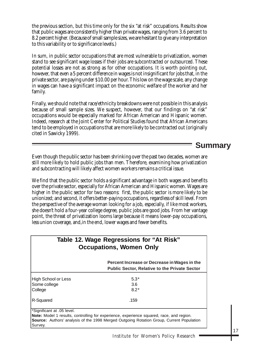the previous section, but this time only for the six "at risk" occupations. Results show that public wages are consistently higher than private wages, ranging from 3.6 percent to 8.2 percent higher. (Because of small sample sizes, we are hesitant to give any interpretation to this variability or to significance levels.)

In sum, in public sector occupations that are most vulnerable to privatization, women stand to see significant wage losses if their jobs are subcontracted or outsourced. These potential losses are not as strong as for other occupations. It is worth pointing out, however, that even a 5 percent difference in wages is not insignificant for jobs that, in the private sector, are paying under \$10.00 per hour. This low on the wage scale, any change in wages can have a significant impact on the economic welfare of the worker and her family.

Finally, we should note that race/ethnicity breakdowns were not possible in this analysis because of small sample sizes. We suspect, however, that our findings on "at risk" occupations would be especially marked for African American and Hispanic women. Indeed, research at the Joint Center for Political Studies found that African Americans tend to be employed in occupations that are more likely to be contracted out (originally cited in Sawicky 1999).

### **Summary**

Even though the public sector has been shrinking over the past two decades, women are still more likely to hold public jobs than men. Therefore, examining how privatization and subcontracting will likely affect women workers remains a critical issue.

We find that the public sector holds a significant advantage in both wages and benefits over the private sector, especially for African American and Hispanic women. Wages are higher in the public sector for two reasons: first, the public sector is more likely to be unionized; and second, it offers better-paying occupations, regardless of skill level. From the perspective of the average woman looking for a job, especially, if like most workers, she doesn't hold a four-year college degree, public jobs are good jobs. From her vantage point, the threat of privatization looms large because it means lower-pay occupations, less union coverage, and,in the end, lower wages and fewer benefits.

| Table 12. Wage Regressions for "At Risk"<br><b>Occupations, Women Only</b> |                                                                                                      |  |
|----------------------------------------------------------------------------|------------------------------------------------------------------------------------------------------|--|
|                                                                            | Percent Increase or Decrease in Wages in the<br><b>Public Sector, Relative to the Private Sector</b> |  |
| High School or Less                                                        | $5.3*$                                                                                               |  |
| Some college                                                               | 3.6                                                                                                  |  |
| College                                                                    | $8.2*$                                                                                               |  |
| R-Squared                                                                  | .159                                                                                                 |  |

Survey.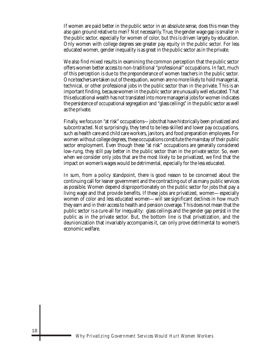If women are paid better in the public sector in an absolute sense, does this mean they also gain ground relative to men? Not necessarily. True, the gender wage gap is smaller in the public sector, especially for women of color, but this is driven largely by education. Only women with college degrees see greater pay equity in the public sector. For less educated women, gender inequality is as great in the public sector as in the private.

We also find mixed results in examining the common perception that the public sector offers women better access to non-traditional "professional" occupations. In fact, much of this perception is due to the preponderance of women teachers in the public sector. Once teachers are taken out of the equation, women are no more likely to hold managerial, technical, or other professional jobs in the public sector than in the private. This is an important finding, because women in the public sector are unusually well educated. That this educational wealth has not translated into more managerial jobs for women indicates the persistence of occupational segregation and "glass ceilings" in the public sector as well as the private.

Finally, we focus on "at risk" occupations—jobs that have historically been privatized and subcontracted. Not surprisingly, they tend to be less-skilled and lower pay occupations, such as health care and child care workers, janitors, and food preparation employees. For women without college degrees, these occupations constitute the mainstay of their public sector employment. Even though these "at risk" occupations are generally considered low-rung, they still pay better in the public sector than in the private sector. So, even when we consider only jobs that are the most likely to be privatized, we find that the impact on women's wages would be detrimental, especially for the less educated.

In sum, from a policy standpoint, there is good reason to be concerned about the continuing call for leaner government and the contracting out of as many public services as possible. Women depend disproportionately on the public sector for jobs that pay a living wage and that provide benefits. If these jobs are privatized, women—especially women of color and less educated women—will see significant declines in how much they earn and in their access to health and pension coverage. This does not mean that the public sector is a cure-all for inequality: glass ceilings and the gender gap persist in the public as in the private sector. But, the bottom line is that privatization, and the deunionization that invariably accompanies it, can only prove detrimental to women's economic welfare.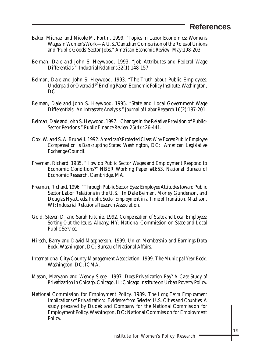#### **References**

- Baker, Michael and Nicole M. Fortin. 1999. "Topics in Labor Economics: Women's Wages in Women's Work—A U.S./Canadian Comparison of the Roles of Unions and 'Public Goods' Sector Jobs." *American Economic Review* May:198-203.
- Belman, Dale and John S. Heywood. 1993. "Job Attributes and Federal Wage Differentials." *Industrial Relations* 32(1):148-157.
- Belman, Dale and John S. Heywood. 1993. "The Truth about Public Employees: Underpaid or Overpaid?" Briefing Paper. Economic Policy Institute, Washington, DC.
- Belman, Dale and John S. Heywood. 1995. "State and Local Government Wage Differentials: An Intrastate Analysis." *Journal of Labor Research* 16(2):187-201.
- Belman, Dale and John S. Heywood. 1997. "Changes in the Relative Provision of Public-Sector Pensions." *Public Finance Review* 25(4):426-441.
- Cox, W. and S. A. Brunelli. 1992. *American's Protected Class: Why Excess Public Employee Compensation is Bankrupting States*. Washington, DC: American Legislative Exchange Council.
- Freeman, Richard. 1985. "How do Public Sector Wages and Employment Respond to Economic Conditions?" NBER Working Paper #1653. National Bureau of Economic Research, Cambridge, MA.
- Freeman, Richard. 1996. "Through Public Sector Eyes: Employee Attitudes toward Public Sector Labor Relations in the U.S." In Dale Belman, Morley Gunderson, and Douglas Hyatt, eds*. Public Sector Employment in a Time of Transition*. Madison, WI: Industrial Relations Research Association.
- Gold, Steven D. and Sarah Ritchie. 1992. *Compensation of State and Local Employees: Sorting Out the Issues*. Albany, NY: National Commission on State and Local Public Service.
- Hirsch, Barry and David Macpherson. 1999. *Union Membership and Earnings Data Book*. Washington, DC: Bureau of National Affairs.
- International City/County Management Association. 1999. *The Municipal Year Book*. Washington, DC: ICMA.
- Mason, Maryann and Wendy Siegel. 1997. *Does Privatization Pay? A Case Study of Privatization in Chicago*. Chicago, IL: Chicago Institute on Urban Poverty Policy.
- National Commission for Employment Policy. 1989. *The Long Term Employment Implications of Privatization: Evidence from Selected U.S. Cities and Counties.* A study prepared by Dudek and Company for the National Commission for Employment Policy. Washington, DC: National Commission for Employment Policy.

19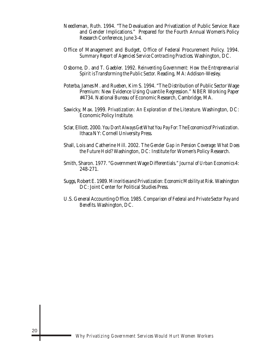- Needleman, Ruth. 1994. "The Devaluation and Privatization of Public Service: Race and Gender Implications." Prepared for the Fourth Annual Women's Policy Research Conference, June 3-4.
- Office of Management and Budget, Office of Federal Procurement Policy. 1994. *Summary Report of Agencies' Service Contracting Practices*. Washington, DC.
- Osborne, D. and T. Gaebler. 1992. *Reinventing Government: How the Entrepreneurial Spirit is Transforming the Public Sector.* Reading, MA: Addison-Wesley.
- Poterba, James M. and Rueben, Kim S. 1994. "The Distribution of Public Sector Wage Premium: New Evidence Using Quantile Regression." NBER Working Paper #4734. National Bureau of Economic Research, Cambridge, MA.
- Sawicky, Max. 1999. *Privatization: An Exploration of the Literature*. Washington, DC: Economic Policy Institute.
- Sclar, Elliott. 2000. *You Don't Always Get What You Pay For: The Economics of Privatization*. Ithaca NY: Cornell University Press.
- Shall, Lois and Catherine Hill. 2002. *The Gender Gap in Pension Coverage: What Does the Future Hold?* Washington, DC: Institute for Women's Policy Research.
- Smith, Sharon. 1977. "Government Wage Differentials." *Journal of Urban Economics* 4: 248-271.
- Suggs, Robert E. 1989. *Minorities and Privatization: Economic Mobility at Risk.* Washington DC: Joint Center for Political Studies Press.
- U.S. General Accounting Office. 1985. *Comparison of Federal and Private Sector Pay and Benefits.* Washington, DC.